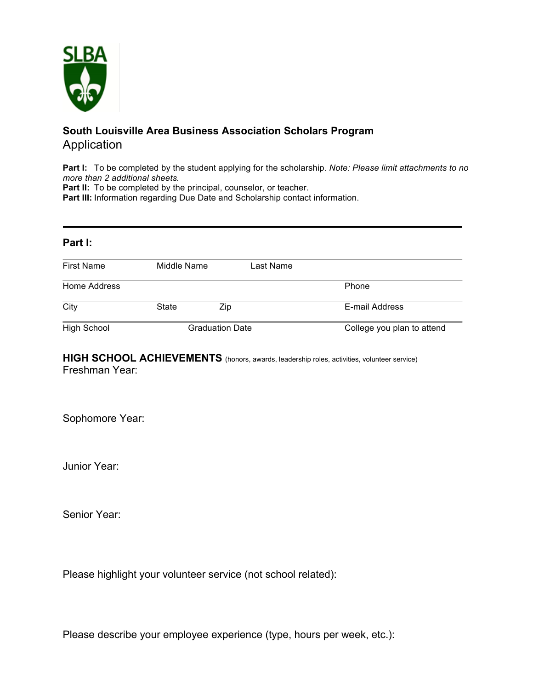

## **South Louisville Area Business Association Scholars Program** Application

**Part I:** To be completed by the student applying for the scholarship. *Note: Please limit attachments to no more than 2 additional sheets.*

Part II: To be completed by the principal, counselor, or teacher.

**Part III:** Information regarding Due Date and Scholarship contact information.

| Part I:            |                        |           |                            |
|--------------------|------------------------|-----------|----------------------------|
| <b>First Name</b>  | Middle Name            | Last Name |                            |
| Home Address       |                        |           | Phone                      |
| City               | State                  | Zip       | E-mail Address             |
| <b>High School</b> | <b>Graduation Date</b> |           | College you plan to attend |

## HIGH SCHOOL ACHIEVEMENTS (honors, awards, leadership roles, activities, volunteer service) Freshman Year:

Sophomore Year:

Junior Year:

Senior Year:

Please highlight your volunteer service (not school related):

Please describe your employee experience (type, hours per week, etc.):